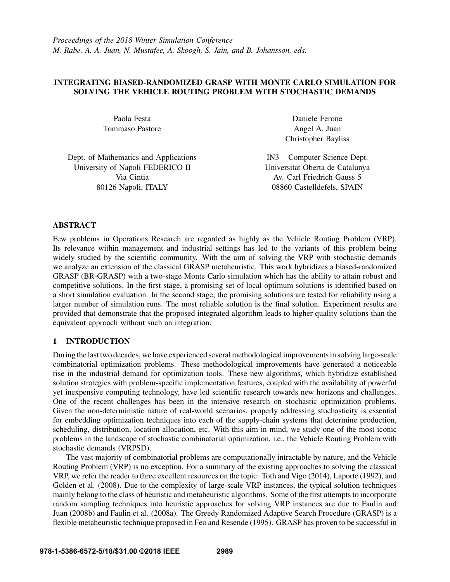# INTEGRATING BIASED-RANDOMIZED GRASP WITH MONTE CARLO SIMULATION FOR SOLVING THE VEHICLE ROUTING PROBLEM WITH STOCHASTIC DEMANDS

Paola Festa Tommaso Pastore

Daniele Ferone Angel A. Juan Christopher Bayliss

Dept. of Mathematics and Applications University of Napoli FEDERICO II Via Cintia 80126 Napoli, ITALY

IN3 – Computer Science Dept. Universitat Oberta de Catalunya Av. Carl Friedrich Gauss 5 08860 Castelldefels, SPAIN

## ABSTRACT

Few problems in Operations Research are regarded as highly as the Vehicle Routing Problem (VRP). Its relevance within management and industrial settings has led to the variants of this problem being widely studied by the scientific community. With the aim of solving the VRP with stochastic demands we analyze an extension of the classical GRASP metaheuristic. This work hybridizes a biased-randomized GRASP (BR-GRASP) with a two-stage Monte Carlo simulation which has the ability to attain robust and competitive solutions. In the first stage, a promising set of local optimum solutions is identified based on a short simulation evaluation. In the second stage, the promising solutions are tested for reliability using a larger number of simulation runs. The most reliable solution is the final solution. Experiment results are provided that demonstrate that the proposed integrated algorithm leads to higher quality solutions than the equivalent approach without such an integration.

# 1 INTRODUCTION

During the last two decades, we have experienced several methodological improvements in solving large-scale combinatorial optimization problems. These methodological improvements have generated a noticeable rise in the industrial demand for optimization tools. These new algorithms, which hybridize established solution strategies with problem-specific implementation features, coupled with the availability of powerful yet inexpensive computing technology, have led scientific research towards new horizons and challenges. One of the recent challenges has been in the intensive research on stochastic optimization problems. Given the non-deterministic nature of real-world scenarios, properly addressing stochasticity is essential for embedding optimization techniques into each of the supply-chain systems that determine production, scheduling, distribution, location-allocation, etc. With this aim in mind, we study one of the most iconic problems in the landscape of stochastic combinatorial optimization, i.e., the Vehicle Routing Problem with stochastic demands (VRPSD).

The vast majority of combinatorial problems are computationally intractable by nature, and the Vehicle Routing Problem (VRP) is no exception. For a summary of the existing approaches to solving the classical VRP, we refer the reader to three excellent resources on the topic: Toth and Vigo (2014), Laporte (1992), and Golden et al. (2008). Due to the complexity of large-scale VRP instances, the typical solution techniques mainly belong to the class of heuristic and metaheuristic algorithms. Some of the first attempts to incorporate random sampling techniques into heuristic approaches for solving VRP instances are due to Faulin and Juan (2008b) and Faulin et al. (2008a). The Greedy Randomized Adaptive Search Procedure (GRASP) is a flexible metaheuristic technique proposed in Feo and Resende (1995). GRASP has proven to be successful in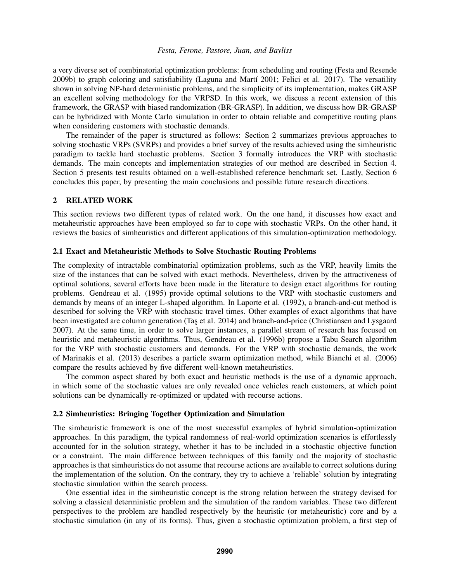a very diverse set of combinatorial optimization problems: from scheduling and routing (Festa and Resende  $2009b$ ) to graph coloring and satisfiability (Laguna and Martí  $2001$ ; Felici et al.  $2017$ ). The versatility shown in solving NP-hard deterministic problems, and the simplicity of its implementation, makes GRASP an excellent solving methodology for the VRPSD. In this work, we discuss a recent extension of this framework, the GRASP with biased randomization (BR-GRASP). In addition, we discuss how BR-GRASP can be hybridized with Monte Carlo simulation in order to obtain reliable and competitive routing plans when considering customers with stochastic demands.

The remainder of the paper is structured as follows: Section 2 summarizes previous approaches to solving stochastic VRPs (SVRPs) and provides a brief survey of the results achieved using the simheuristic paradigm to tackle hard stochastic problems. Section 3 formally introduces the VRP with stochastic demands. The main concepts and implementation strategies of our method are described in Section 4. Section 5 presents test results obtained on a well-established reference benchmark set. Lastly, Section 6 concludes this paper, by presenting the main conclusions and possible future research directions.

## 2 RELATED WORK

This section reviews two different types of related work. On the one hand, it discusses how exact and metaheuristic approaches have been employed so far to cope with stochastic VRPs. On the other hand, it reviews the basics of simheuristics and different applications of this simulation-optimization methodology.

### 2.1 Exact and Metaheuristic Methods to Solve Stochastic Routing Problems

The complexity of intractable combinatorial optimization problems, such as the VRP, heavily limits the size of the instances that can be solved with exact methods. Nevertheless, driven by the attractiveness of optimal solutions, several efforts have been made in the literature to design exact algorithms for routing problems. Gendreau et al. (1995) provide optimal solutions to the VRP with stochastic customers and demands by means of an integer L-shaped algorithm. In Laporte et al. (1992), a branch-and-cut method is described for solving the VRP with stochastic travel times. Other examples of exact algorithms that have been investigated are column generation (Tas et al. 2014) and branch-and-price (Christiansen and Lysgaard 2007). At the same time, in order to solve larger instances, a parallel stream of research has focused on heuristic and metaheuristic algorithms. Thus, Gendreau et al. (1996b) propose a Tabu Search algorithm for the VRP with stochastic customers and demands. For the VRP with stochastic demands, the work of Marinakis et al. (2013) describes a particle swarm optimization method, while Bianchi et al. (2006) compare the results achieved by five different well-known metaheuristics.

The common aspect shared by both exact and heuristic methods is the use of a dynamic approach, in which some of the stochastic values are only revealed once vehicles reach customers, at which point solutions can be dynamically re-optimized or updated with recourse actions.

#### 2.2 Simheuristics: Bringing Together Optimization and Simulation

The simheuristic framework is one of the most successful examples of hybrid simulation-optimization approaches. In this paradigm, the typical randomness of real-world optimization scenarios is effortlessly accounted for in the solution strategy, whether it has to be included in a stochastic objective function or a constraint. The main difference between techniques of this family and the majority of stochastic approaches is that simheuristics do not assume that recourse actions are available to correct solutions during the implementation of the solution. On the contrary, they try to achieve a 'reliable' solution by integrating stochastic simulation within the search process.

One essential idea in the simheuristic concept is the strong relation between the strategy devised for solving a classical deterministic problem and the simulation of the random variables. These two different perspectives to the problem are handled respectively by the heuristic (or metaheuristic) core and by a stochastic simulation (in any of its forms). Thus, given a stochastic optimization problem, a first step of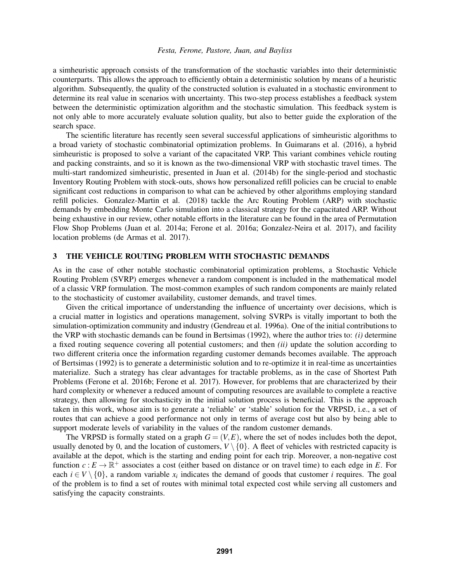a simheuristic approach consists of the transformation of the stochastic variables into their deterministic counterparts. This allows the approach to efficiently obtain a deterministic solution by means of a heuristic algorithm. Subsequently, the quality of the constructed solution is evaluated in a stochastic environment to determine its real value in scenarios with uncertainty. This two-step process establishes a feedback system between the deterministic optimization algorithm and the stochastic simulation. This feedback system is not only able to more accurately evaluate solution quality, but also to better guide the exploration of the search space.

The scientific literature has recently seen several successful applications of simheuristic algorithms to a broad variety of stochastic combinatorial optimization problems. In Guimarans et al. (2016), a hybrid simheuristic is proposed to solve a variant of the capacitated VRP. This variant combines vehicle routing and packing constraints, and so it is known as the two-dimensional VRP with stochastic travel times. The multi-start randomized simheuristic, presented in Juan et al. (2014b) for the single-period and stochastic Inventory Routing Problem with stock-outs, shows how personalized refill policies can be crucial to enable significant cost reductions in comparison to what can be achieved by other algorithms employing standard refill policies. Gonzalez-Martin et al. (2018) tackle the Arc Routing Problem (ARP) with stochastic demands by embedding Monte Carlo simulation into a classical strategy for the capacitated ARP. Without being exhaustive in our review, other notable efforts in the literature can be found in the area of Permutation Flow Shop Problems (Juan et al. 2014a; Ferone et al. 2016a; Gonzalez-Neira et al. 2017), and facility location problems (de Armas et al. 2017).

### 3 THE VEHICLE ROUTING PROBLEM WITH STOCHASTIC DEMANDS

As in the case of other notable stochastic combinatorial optimization problems, a Stochastic Vehicle Routing Problem (SVRP) emerges whenever a random component is included in the mathematical model of a classic VRP formulation. The most-common examples of such random components are mainly related to the stochasticity of customer availability, customer demands, and travel times.

Given the critical importance of understanding the influence of uncertainty over decisions, which is a crucial matter in logistics and operations management, solving SVRPs is vitally important to both the simulation-optimization community and industry (Gendreau et al. 1996a). One of the initial contributions to the VRP with stochastic demands can be found in Bertsimas (1992), where the author tries to: *(i)* determine a fixed routing sequence covering all potential customers; and then *(ii)* update the solution according to two different criteria once the information regarding customer demands becomes available. The approach of Bertsimas (1992) is to generate a deterministic solution and to re-optimize it in real-time as uncertainties materialize. Such a strategy has clear advantages for tractable problems, as in the case of Shortest Path Problems (Ferone et al. 2016b; Ferone et al. 2017). However, for problems that are characterized by their hard complexity or whenever a reduced amount of computing resources are available to complete a reactive strategy, then allowing for stochasticity in the initial solution process is beneficial. This is the approach taken in this work, whose aim is to generate a 'reliable' or 'stable' solution for the VRPSD, i.e., a set of routes that can achieve a good performance not only in terms of average cost but also by being able to support moderate levels of variability in the values of the random customer demands.

The VRPSD is formally stated on a graph  $G = (V, E)$ , where the set of nodes includes both the depot, usually denoted by 0, and the location of customers,  $V \setminus \{0\}$ . A fleet of vehicles with restricted capacity is available at the depot, which is the starting and ending point for each trip. Moreover, a non-negative cost function  $c: E \to \mathbb{R}^+$  associates a cost (either based on distance or on travel time) to each edge in *E*. For each  $i \in V \setminus \{0\}$ , a random variable  $x_i$  indicates the demand of goods that customer *i* requires. The goal of the problem is to find a set of routes with minimal total expected cost while serving all customers and satisfying the capacity constraints.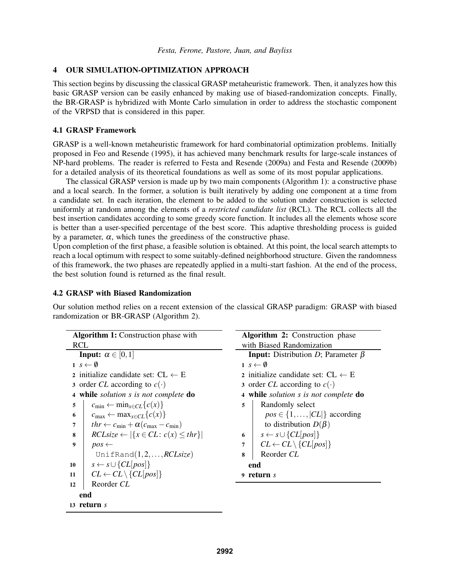# 4 OUR SIMULATION-OPTIMIZATION APPROACH

This section begins by discussing the classical GRASP metaheuristic framework. Then, it analyzes how this basic GRASP version can be easily enhanced by making use of biased-randomization concepts. Finally, the BR-GRASP is hybridized with Monte Carlo simulation in order to address the stochastic component of the VRPSD that is considered in this paper.

# 4.1 GRASP Framework

GRASP is a well-known metaheuristic framework for hard combinatorial optimization problems. Initially proposed in Feo and Resende (1995), it has achieved many benchmark results for large-scale instances of NP-hard problems. The reader is referred to Festa and Resende (2009a) and Festa and Resende (2009b) for a detailed analysis of its theoretical foundations as well as some of its most popular applications.

The classical GRASP version is made up by two main components (Algorithm 1): a constructive phase and a local search. In the former, a solution is built iteratively by adding one component at a time from a candidate set. In each iteration, the element to be added to the solution under construction is selected uniformly at random among the elements of a *restricted candidate list* (RCL). The RCL collects all the best insertion candidates according to some greedy score function. It includes all the elements whose score is better than a user-specified percentage of the best score. This adaptive thresholding process is guided by a parameter,  $\alpha$ , which tunes the greediness of the constructive phase.

Upon completion of the first phase, a feasible solution is obtained. At this point, the local search attempts to reach a local optimum with respect to some suitably-defined neighborhood structure. Given the randomness of this framework, the two phases are repeatedly applied in a multi-start fashion. At the end of the process, the best solution found is returned as the final result.

# 4.2 GRASP with Biased Randomization

13 return *s*

Our solution method relies on a recent extension of the classical GRASP paradigm: GRASP with biased randomization or BR-GRASP (Algorithm 2).

| <b>Algorithm 1:</b> Construction phase with                  | <b>Algorithm 2:</b> Construction phase                                        |  |  |
|--------------------------------------------------------------|-------------------------------------------------------------------------------|--|--|
| <b>RCL</b>                                                   | with Biased Randomization                                                     |  |  |
| <b>Input:</b> $\alpha \in [0,1]$                             | <b>Input:</b> Distribution D; Parameter $\beta$                               |  |  |
| $1 s \leftarrow \emptyset$                                   | $1 s \leftarrow \emptyset$                                                    |  |  |
| 2 initialize candidate set: $CL \leftarrow E$                | 2 initialize candidate set: $CL \leftarrow E$                                 |  |  |
| 3 order CL according to $c(\cdot)$                           | 3 order CL according to $c(\cdot)$                                            |  |  |
| 4 while solution s is not complete do                        | 4 while solution s is not complete do                                         |  |  |
| $c_{\min} \leftarrow \min_{x \in CL} \{c(x)\}\$<br>5         | Randomly select<br>5                                                          |  |  |
| $c_{\max} \leftarrow \max_{x \in CL} \{c(x)\}\$<br>6         | $pos \in \{1, \ldots,  CL \}$ according                                       |  |  |
| $thr \leftarrow c_{\min} + \alpha(c_{\max} - c_{\min})$<br>7 | to distribution $D(\beta)$                                                    |  |  |
| $RCLsize \leftarrow  \{x \in CL : c(x) \leq thr\} $<br>8     | 6 $s \leftarrow s \cup \{CL[pos]\}$                                           |  |  |
| 9<br>$pos \leftarrow$                                        | $\left\{\nCL \leftarrow CL \setminus \{CL[pos]\}\n\right\}$<br>$\overline{7}$ |  |  |
| UnifRand $(1,2,,RCLsize)$                                    | Reorder CL<br>8                                                               |  |  |
| $s \leftarrow s \cup \{CL[pos]\}$<br>10                      | end                                                                           |  |  |
| $CL \leftarrow CL \setminus \{CL[pos]\}$<br>11               | 9 return s                                                                    |  |  |
| Reorder CL<br>12                                             |                                                                               |  |  |
| end                                                          |                                                                               |  |  |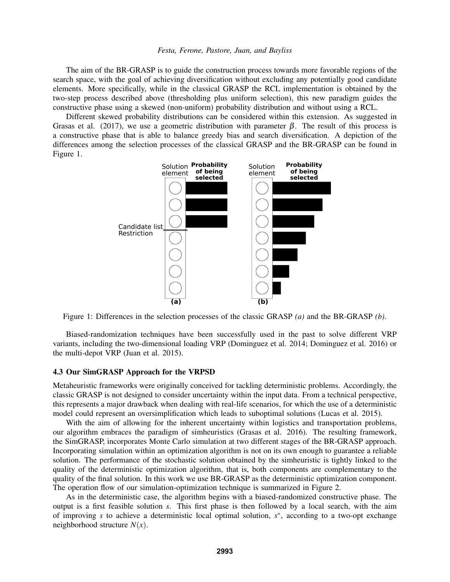The aim of the BR-GRASP is to guide the construction process towards more favorable regions of the search space, with the goal of achieving diversification without excluding any potentially good candidate elements. More specifically, while in the classical GRASP the RCL implementation is obtained by the two-step process described above (thresholding plus uniform selection), this new paradigm guides the constructive phase using a skewed (non-uniform) probability distribution and without using a RCL.

Different skewed probability distributions can be considered within this extension. As suggested in Grasas et al. (2017), we use a geometric distribution with parameter  $\beta$ . The result of this process is a constructive phase that is able to balance greedy bias and search diversification. A depiction of the differences among the selection processes of the classical GRASP and the BR-GRASP can be found in Figure 1.



Figure 1: Differences in the selection processes of the classic GRASP *(a)* and the BR-GRASP *(b)*.

Biased-randomization techniques have been successfully used in the past to solve different VRP variants, including the two-dimensional loading VRP (Dominguez et al. 2014; Dominguez et al. 2016) or the multi-depot VRP (Juan et al. 2015).

### 4.3 Our SimGRASP Approach for the VRPSD

Metaheuristic frameworks were originally conceived for tackling deterministic problems. Accordingly, the classic GRASP is not designed to consider uncertainty within the input data. From a technical perspective, this represents a major drawback when dealing with real-life scenarios, for which the use of a deterministic model could represent an oversimplification which leads to suboptimal solutions (Lucas et al. 2015).

With the aim of allowing for the inherent uncertainty within logistics and transportation problems, our algorithm embraces the paradigm of simheuristics (Grasas et al. 2016). The resulting framework, the SimGRASP, incorporates Monte Carlo simulation at two different stages of the BR-GRASP approach. Incorporating simulation within an optimization algorithm is not on its own enough to guarantee a reliable solution. The performance of the stochastic solution obtained by the simheuristic is tightly linked to the quality of the deterministic optimization algorithm, that is, both components are complementary to the quality of the final solution. In this work we use BR-GRASP as the deterministic optimization component. The operation flow of our simulation-optimization technique is summarized in Figure 2.

As in the deterministic case, the algorithm begins with a biased-randomized constructive phase. The output is a first feasible solution *s*. This first phase is then followed by a local search, with the aim of improving *s* to achieve a deterministic local optimal solution,  $s^*$ , according to a two-opt exchange neighborhood structure  $N(x)$ .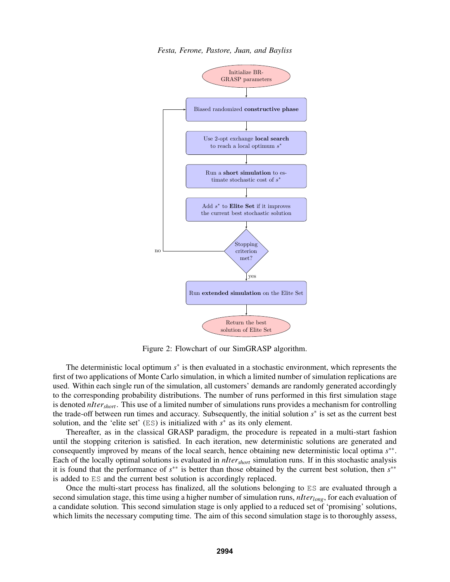

*Festa, Ferone, Pastore, Juan, and Bayliss*

Figure 2: Flowchart of our SimGRASP algorithm.

The deterministic local optimum  $s^*$  is then evaluated in a stochastic environment, which represents the first of two applications of Monte Carlo simulation, in which a limited number of simulation replications are used. Within each single run of the simulation, all customers' demands are randomly generated accordingly to the corresponding probability distributions. The number of runs performed in this first simulation stage is denoted *nItershort*. This use of a limited number of simulations runs provides a mechanism for controlling the trade-off between run times and accuracy. Subsequently, the initial solution  $s^*$  is set as the current best solution, and the 'elite set'  $(ES)$  is initialized with  $s^*$  as its only element.

Thereafter, as in the classical GRASP paradigm, the procedure is repeated in a multi-start fashion until the stopping criterion is satisfied. In each iteration, new deterministic solutions are generated and consequently improved by means of the local search, hence obtaining new deterministic local optima *s* ∗∗ . Each of the locally optimal solutions is evaluated in *nItershort* simulation runs. If in this stochastic analysis it is found that the performance of *s* ∗∗ is better than those obtained by the current best solution, then *s* ∗∗ is added to ES and the current best solution is accordingly replaced.

Once the multi-start process has finalized, all the solutions belonging to ES are evaluated through a second simulation stage, this time using a higher number of simulation runs, *nIterlong*, for each evaluation of a candidate solution. This second simulation stage is only applied to a reduced set of 'promising' solutions, which limits the necessary computing time. The aim of this second simulation stage is to thoroughly assess,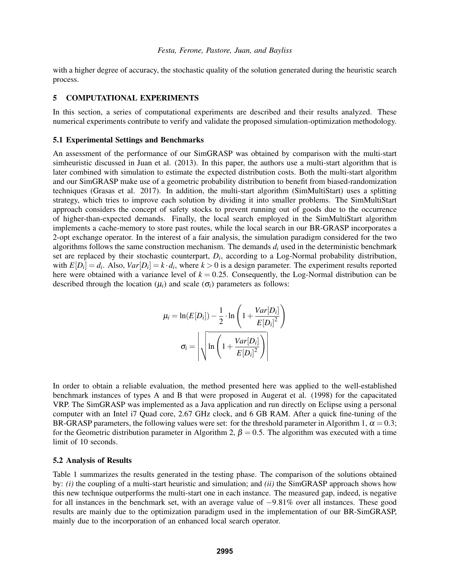with a higher degree of accuracy, the stochastic quality of the solution generated during the heuristic search process.

### 5 COMPUTATIONAL EXPERIMENTS

In this section, a series of computational experiments are described and their results analyzed. These numerical experiments contribute to verify and validate the proposed simulation-optimization methodology.

### 5.1 Experimental Settings and Benchmarks

An assessment of the performance of our SimGRASP was obtained by comparison with the multi-start simheuristic discussed in Juan et al. (2013). In this paper, the authors use a multi-start algorithm that is later combined with simulation to estimate the expected distribution costs. Both the multi-start algorithm and our SimGRASP make use of a geometric probability distribution to benefit from biased-randomization techniques (Grasas et al. 2017). In addition, the multi-start algorithm (SimMultiStart) uses a splitting strategy, which tries to improve each solution by dividing it into smaller problems. The SimMultiStart approach considers the concept of safety stocks to prevent running out of goods due to the occurrence of higher-than-expected demands. Finally, the local search employed in the SimMultiStart algorithm implements a cache-memory to store past routes, while the local search in our BR-GRASP incorporates a 2-opt exchange operator. In the interest of a fair analysis, the simulation paradigm considered for the two algorithms follows the same construction mechanism. The demands  $d_i$  used in the deterministic benchmark set are replaced by their stochastic counterpart, *D<sup>i</sup>* , according to a Log-Normal probability distribution, with  $E[D_i] = d_i$ . Also,  $Var[D_i] = k \cdot d_i$ , where  $k > 0$  is a design parameter. The experiment results reported here were obtained with a variance level of  $k = 0.25$ . Consequently, the Log-Normal distribution can be described through the location  $(\mu_i)$  and scale  $(\sigma_i)$  parameters as follows:

$$
\mu_{i} = \ln(E[D_{i}]) - \frac{1}{2} \cdot \ln\left(1 + \frac{Var[D_{i}]}{E[D_{i}]^{2}}\right)
$$

$$
\sigma_{i} = \left| \sqrt{\ln\left(1 + \frac{Var[D_{i}]}{E[D_{i}]^{2}}\right)}\right|
$$

In order to obtain a reliable evaluation, the method presented here was applied to the well-established benchmark instances of types A and B that were proposed in Augerat et al. (1998) for the capacitated VRP. The SimGRASP was implemented as a Java application and run directly on Eclipse using a personal computer with an Intel i7 Quad core, 2.67 GHz clock, and 6 GB RAM. After a quick fine-tuning of the BR-GRASP parameters, the following values were set: for the threshold parameter in Algorithm 1,  $\alpha = 0.3$ ; for the Geometric distribution parameter in Algorithm 2,  $\beta = 0.5$ . The algorithm was executed with a time limit of 10 seconds.

### 5.2 Analysis of Results

Table 1 summarizes the results generated in the testing phase. The comparison of the solutions obtained by: *(i)* the coupling of a multi-start heuristic and simulation; and *(ii)* the SimGRASP approach shows how this new technique outperforms the multi-start one in each instance. The measured gap, indeed, is negative for all instances in the benchmark set, with an average value of −9.81% over all instances. These good results are mainly due to the optimization paradigm used in the implementation of our BR-SimGRASP, mainly due to the incorporation of an enhanced local search operator.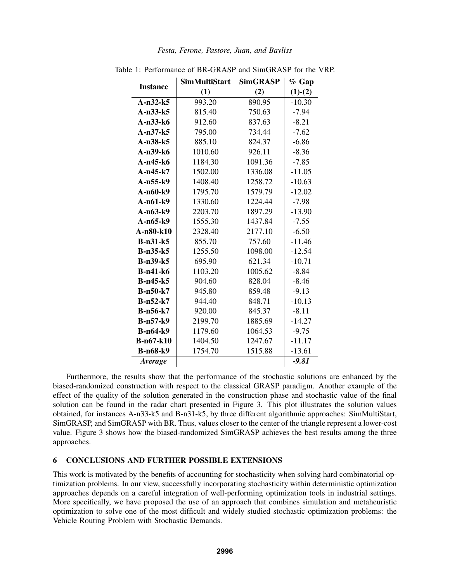| Festa, Ferone, Pastore, Juan, and Bayliss |
|-------------------------------------------|
|-------------------------------------------|

| <b>Instance</b>  | <b>SimMultiStart</b> | <b>SimGRASP</b> | $\%$ Gap  |
|------------------|----------------------|-----------------|-----------|
|                  | (1)                  | (2)             | $(1)-(2)$ |
| $A-n32-k5$       | 993.20               | 890.95          | $-10.30$  |
| $A-n33-k5$       | 815.40               | 750.63          | $-7.94$   |
| $A-n33-k6$       | 912.60               | 837.63          | $-8.21$   |
| $A-n37-k5$       | 795.00               | 734.44          | $-7.62$   |
| $A-n38-k5$       | 885.10               | 824.37          | $-6.86$   |
| A-n39-k6         | 1010.60              | 926.11          | $-8.36$   |
| $A-n45-k6$       | 1184.30              | 1091.36         | $-7.85$   |
| $A-n45-k7$       | 1502.00              | 1336.08         | $-11.05$  |
| A-n55-k9         | 1408.40              | 1258.72         | $-10.63$  |
| A-n60-k9         | 1795.70              | 1579.79         | $-12.02$  |
| $A-n61-k9$       | 1330.60              | 1224.44         | $-7.98$   |
| $A-n63-k9$       | 2203.70              | 1897.29         | $-13.90$  |
| $A-n65-k9$       | 1555.30              | 1437.84         | $-7.55$   |
| A-n80-k10        | 2328.40              | 2177.10         | $-6.50$   |
| $B-n31-k5$       | 855.70               | 757.60          | $-11.46$  |
| $B-n35-k5$       | 1255.50              | 1098.00         | $-12.54$  |
| $B-n39-k5$       | 695.90               | 621.34          | $-10.71$  |
| <b>B-n41-k6</b>  | 1103.20              | 1005.62         | $-8.84$   |
| $B-n45-k5$       | 904.60               | 828.04          | $-8.46$   |
| $B-n50-k7$       | 945.80               | 859.48          | $-9.13$   |
| $B-n52-k7$       | 944.40               | 848.71          | $-10.13$  |
| <b>B-n56-k7</b>  | 920.00               | 845.37          | $-8.11$   |
| <b>B-n57-k9</b>  | 2199.70              | 1885.69         | $-14.27$  |
| $B-n64-k9$       | 1179.60              | 1064.53         | $-9.75$   |
| <b>B-n67-k10</b> | 1404.50              | 1247.67         | $-11.17$  |
| <b>B-n68-k9</b>  | 1754.70              | 1515.88         | $-13.61$  |
| Average          |                      |                 | $-9.81$   |

Table 1: Performance of BR-GRASP and SimGRASP for the VRP.

Furthermore, the results show that the performance of the stochastic solutions are enhanced by the biased-randomized construction with respect to the classical GRASP paradigm. Another example of the effect of the quality of the solution generated in the construction phase and stochastic value of the final solution can be found in the radar chart presented in Figure 3. This plot illustrates the solution values obtained, for instances A-n33-k5 and B-n31-k5, by three different algorithmic approaches: SimMultiStart, SimGRASP, and SimGRASP with BR. Thus, values closer to the center of the triangle represent a lower-cost value. Figure 3 shows how the biased-randomized SimGRASP achieves the best results among the three approaches.

# 6 CONCLUSIONS AND FURTHER POSSIBLE EXTENSIONS

This work is motivated by the benefits of accounting for stochasticity when solving hard combinatorial optimization problems. In our view, successfully incorporating stochasticity within deterministic optimization approaches depends on a careful integration of well-performing optimization tools in industrial settings. More specifically, we have proposed the use of an approach that combines simulation and metaheuristic optimization to solve one of the most difficult and widely studied stochastic optimization problems: the Vehicle Routing Problem with Stochastic Demands.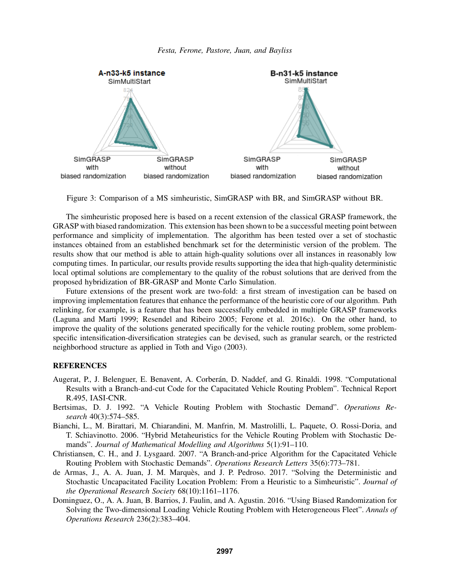

Figure 3: Comparison of a MS simheuristic, SimGRASP with BR, and SimGRASP without BR.

The simheuristic proposed here is based on a recent extension of the classical GRASP framework, the GRASP with biased randomization. This extension has been shown to be a successful meeting point between performance and simplicity of implementation. The algorithm has been tested over a set of stochastic instances obtained from an established benchmark set for the deterministic version of the problem. The results show that our method is able to attain high-quality solutions over all instances in reasonably low computing times. In particular, our results provide results supporting the idea that high-quality deterministic local optimal solutions are complementary to the quality of the robust solutions that are derived from the proposed hybridization of BR-GRASP and Monte Carlo Simulation.

Future extensions of the present work are two-fold: a first stream of investigation can be based on improving implementation features that enhance the performance of the heuristic core of our algorithm. Path relinking, for example, is a feature that has been successfully embedded in multiple GRASP frameworks (Laguna and Marti 1999; Resendel and Ribeiro 2005; Ferone et al. 2016c). On the other hand, to improve the quality of the solutions generated specifically for the vehicle routing problem, some problemspecific intensification-diversification strategies can be devised, such as granular search, or the restricted neighborhood structure as applied in Toth and Vigo (2003).

## **REFERENCES**

- Augerat, P., J. Belenguer, E. Benavent, A. Corberán, D. Naddef, and G. Rinaldi. 1998. "Computational Results with a Branch-and-cut Code for the Capacitated Vehicle Routing Problem". Technical Report R.495, IASI-CNR.
- Bertsimas, D. J. 1992. "A Vehicle Routing Problem with Stochastic Demand". *Operations Research* 40(3):574–585.
- Bianchi, L., M. Birattari, M. Chiarandini, M. Manfrin, M. Mastrolilli, L. Paquete, O. Rossi-Doria, and T. Schiavinotto. 2006. "Hybrid Metaheuristics for the Vehicle Routing Problem with Stochastic Demands". *Journal of Mathematical Modelling and Algorithms* 5(1):91–110.
- Christiansen, C. H., and J. Lysgaard. 2007. "A Branch-and-price Algorithm for the Capacitated Vehicle Routing Problem with Stochastic Demands". *Operations Research Letters* 35(6):773–781.
- de Armas, J., A. A. Juan, J. M. Marquès, and J. P. Pedroso. 2017. "Solving the Deterministic and Stochastic Uncapacitated Facility Location Problem: From a Heuristic to a Simheuristic". *Journal of the Operational Research Society* 68(10):1161–1176.
- Dominguez, O., A. A. Juan, B. Barrios, J. Faulin, and A. Agustin. 2016. "Using Biased Randomization for Solving the Two-dimensional Loading Vehicle Routing Problem with Heterogeneous Fleet". *Annals of Operations Research* 236(2):383–404.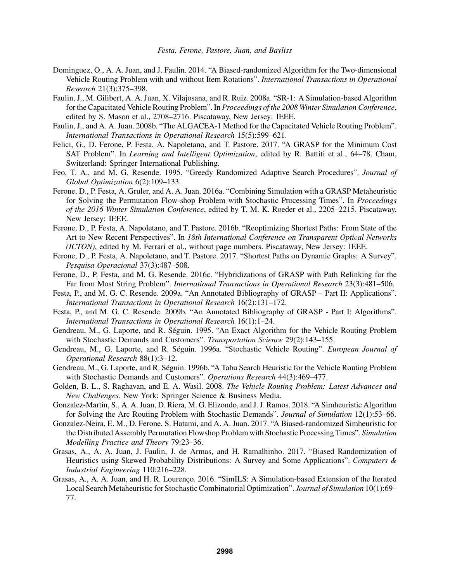- Dominguez, O., A. A. Juan, and J. Faulin. 2014. "A Biased-randomized Algorithm for the Two-dimensional Vehicle Routing Problem with and without Item Rotations". *International Transactions in Operational Research* 21(3):375–398.
- Faulin, J., M. Gilibert, A. A. Juan, X. Vilajosana, and R. Ruiz. 2008a. "SR-1: A Simulation-based Algorithm for the Capacitated Vehicle Routing Problem". In *Proceedings of the 2008 Winter Simulation Conference*, edited by S. Mason et al., 2708–2716. Piscataway, New Jersey: IEEE.
- Faulin, J., and A. A. Juan. 2008b. "The ALGACEA-1 Method for the Capacitated Vehicle Routing Problem". *International Transactions in Operational Research* 15(5):599–621.
- Felici, G., D. Ferone, P. Festa, A. Napoletano, and T. Pastore. 2017. "A GRASP for the Minimum Cost SAT Problem". In *Learning and Intelligent Optimization*, edited by R. Battiti et al., 64–78. Cham, Switzerland: Springer International Publishing.
- Feo, T. A., and M. G. Resende. 1995. "Greedy Randomized Adaptive Search Procedures". *Journal of Global Optimization* 6(2):109–133.
- Ferone, D., P. Festa, A. Gruler, and A. A. Juan. 2016a. "Combining Simulation with a GRASP Metaheuristic for Solving the Permutation Flow-shop Problem with Stochastic Processing Times". In *Proceedings of the 2016 Winter Simulation Conference*, edited by T. M. K. Roeder et al., 2205–2215. Piscataway, New Jersey: IEEE.
- Ferone, D., P. Festa, A. Napoletano, and T. Pastore. 2016b. "Reoptimizing Shortest Paths: From State of the Art to New Recent Perspectives". In *18th International Conference on Transparent Optical Networks (ICTON)*, edited by M. Ferrari et al., without page numbers. Piscataway, New Jersey: IEEE.
- Ferone, D., P. Festa, A. Napoletano, and T. Pastore. 2017. "Shortest Paths on Dynamic Graphs: A Survey". *Pesquisa Operacional* 37(3):487–508.
- Ferone, D., P. Festa, and M. G. Resende. 2016c. "Hybridizations of GRASP with Path Relinking for the Far from Most String Problem". *International Transactions in Operational Research* 23(3):481–506.
- Festa, P., and M. G. C. Resende. 2009a. "An Annotated Bibliography of GRASP Part II: Applications". *International Transactions in Operational Research* 16(2):131–172.
- Festa, P., and M. G. C. Resende. 2009b. "An Annotated Bibliography of GRASP Part I: Algorithms". *International Transactions in Operational Research* 16(1):1–24.
- Gendreau, M., G. Laporte, and R. Séguin. 1995. "An Exact Algorithm for the Vehicle Routing Problem with Stochastic Demands and Customers". *Transportation Science* 29(2):143–155.
- Gendreau, M., G. Laporte, and R. Séguin. 1996a. "Stochastic Vehicle Routing". *European Journal of Operational Research* 88(1):3–12.
- Gendreau, M., G. Laporte, and R. Séguin. 1996b. "A Tabu Search Heuristic for the Vehicle Routing Problem with Stochastic Demands and Customers". *Operations Research* 44(3):469–477.
- Golden, B. L., S. Raghavan, and E. A. Wasil. 2008. *The Vehicle Routing Problem: Latest Advances and New Challenges*. New York: Springer Science & Business Media.
- Gonzalez-Martin, S., A. A. Juan, D. Riera, M. G. Elizondo, and J. J. Ramos. 2018. "A Simheuristic Algorithm for Solving the Arc Routing Problem with Stochastic Demands". *Journal of Simulation* 12(1):53–66.
- Gonzalez-Neira, E. M., D. Ferone, S. Hatami, and A. A. Juan. 2017. "A Biased-randomized Simheuristic for the Distributed Assembly Permutation Flowshop Problem with Stochastic Processing Times". *Simulation Modelling Practice and Theory* 79:23–36.
- Grasas, A., A. A. Juan, J. Faulin, J. de Armas, and H. Ramalhinho. 2017. "Biased Randomization of Heuristics using Skewed Probability Distributions: A Survey and Some Applications". *Computers & Industrial Engineering* 110:216–228.
- Grasas, A., A. A. Juan, and H. R. Lourenço. 2016. "SimILS: A Simulation-based Extension of the Iterated Local Search Metaheuristic for Stochastic Combinatorial Optimization". *Journal of Simulation* 10(1):69– 77.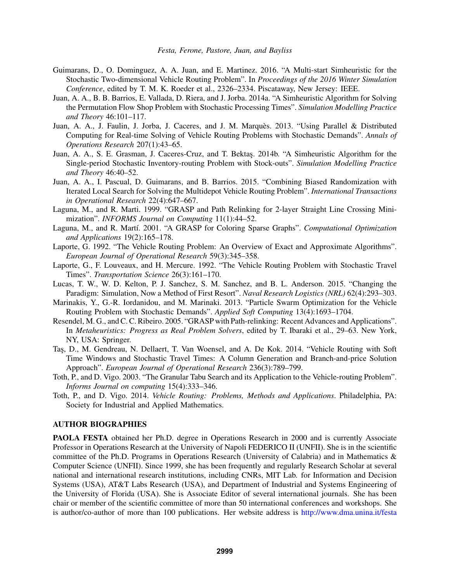- Guimarans, D., O. Dominguez, A. A. Juan, and E. Martinez. 2016. "A Multi-start Simheuristic for the Stochastic Two-dimensional Vehicle Routing Problem". In *Proceedings of the 2016 Winter Simulation Conference*, edited by T. M. K. Roeder et al., 2326–2334. Piscataway, New Jersey: IEEE.
- Juan, A. A., B. B. Barrios, E. Vallada, D. Riera, and J. Jorba. 2014a. "A Simheuristic Algorithm for Solving the Permutation Flow Shop Problem with Stochastic Processing Times". *Simulation Modelling Practice and Theory* 46:101–117.
- Juan, A. A., J. Faulin, J. Jorba, J. Caceres, and J. M. Marquès. 2013. "Using Parallel & Distributed Computing for Real-time Solving of Vehicle Routing Problems with Stochastic Demands". *Annals of Operations Research* 207(1):43–65.
- Juan, A. A., S. E. Grasman, J. Caceres-Cruz, and T. Bektas. 2014b. "A Simheuristic Algorithm for the Single-period Stochastic Inventory-routing Problem with Stock-outs". *Simulation Modelling Practice and Theory* 46:40–52.
- Juan, A. A., I. Pascual, D. Guimarans, and B. Barrios. 2015. "Combining Biased Randomization with Iterated Local Search for Solving the Multidepot Vehicle Routing Problem". *International Transactions in Operational Research* 22(4):647–667.
- Laguna, M., and R. Marti. 1999. "GRASP and Path Relinking for 2-layer Straight Line Crossing Minimization". *INFORMS Journal on Computing* 11(1):44–52.
- Laguna, M., and R. Mart´ı. 2001. "A GRASP for Coloring Sparse Graphs". *Computational Optimization and Applications* 19(2):165–178.
- Laporte, G. 1992. "The Vehicle Routing Problem: An Overview of Exact and Approximate Algorithms". *European Journal of Operational Research* 59(3):345–358.
- Laporte, G., F. Louveaux, and H. Mercure. 1992. "The Vehicle Routing Problem with Stochastic Travel Times". *Transportation Science* 26(3):161–170.
- Lucas, T. W., W. D. Kelton, P. J. Sanchez, S. M. Sanchez, and B. L. Anderson. 2015. "Changing the Paradigm: Simulation, Now a Method of First Resort". *Naval Research Logistics (NRL)* 62(4):293–303.
- Marinakis, Y., G.-R. Iordanidou, and M. Marinaki. 2013. "Particle Swarm Optimization for the Vehicle Routing Problem with Stochastic Demands". *Applied Soft Computing* 13(4):1693–1704.
- Resendel, M. G., and C. C. Ribeiro. 2005. "GRASP with Path-relinking: Recent Advances and Applications". In *Metaheuristics: Progress as Real Problem Solvers*, edited by T. Ibaraki et al., 29–63. New York, NY, USA: Springer.
- Tas¸, D., M. Gendreau, N. Dellaert, T. Van Woensel, and A. De Kok. 2014. "Vehicle Routing with Soft Time Windows and Stochastic Travel Times: A Column Generation and Branch-and-price Solution Approach". *European Journal of Operational Research* 236(3):789–799.
- Toth, P., and D. Vigo. 2003. "The Granular Tabu Search and its Application to the Vehicle-routing Problem". *Informs Journal on computing* 15(4):333–346.
- Toth, P., and D. Vigo. 2014. *Vehicle Routing: Problems, Methods and Applications*. Philadelphia, PA: Society for Industrial and Applied Mathematics.

### AUTHOR BIOGRAPHIES

PAOLA FESTA obtained her Ph.D. degree in Operations Research in 2000 and is currently Associate Professor in Operations Research at the University of Napoli FEDERICO II (UNFII). She is in the scientific committee of the Ph.D. Programs in Operations Research (University of Calabria) and in Mathematics & Computer Science (UNFII). Since 1999, she has been frequently and regularly Research Scholar at several national and international research institutions, including CNRs, MIT Lab. for Information and Decision Systems (USA), AT&T Labs Research (USA), and Department of Industrial and Systems Engineering of the University of Florida (USA). She is Associate Editor of several international journals. She has been chair or member of the scientific committee of more than 50 international conferences and workshops. She is author/co-author of more than 100 publications. Her website address is http://www.dma.unina.it/festa